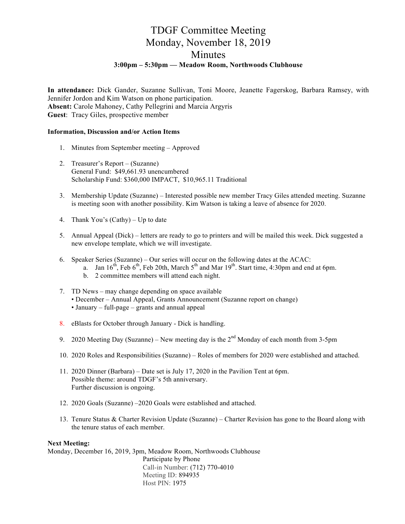### TDGF Committee Meeting Monday, November 18, 2019 Minutes **3:00pm – 5:30pm — Meadow Room, Northwoods Clubhouse**

**In attendance:** Dick Gander, Suzanne Sullivan, Toni Moore, Jeanette Fagerskog, Barbara Ramsey, with Jennifer Jordon and Kim Watson on phone participation. **Absent:** Carole Mahoney, Cathy Pellegrini and Marcia Argyris **Guest**: Tracy Giles, prospective member

#### **Information, Discussion and/or Action Items**

- 1. Minutes from September meeting Approved
- 2. Treasurer's Report (Suzanne) General Fund: \$49,661.93 unencumbered Scholarship Fund: \$360,000 IMPACT, \$10,965.11 Traditional
- 3. Membership Update (Suzanne) Interested possible new member Tracy Giles attended meeting. Suzanne is meeting soon with another possibility. Kim Watson is taking a leave of absence for 2020.
- 4. Thank You's (Cathy) Up to date
- 5. Annual Appeal (Dick) letters are ready to go to printers and will be mailed this week. Dick suggested a new envelope template, which we will investigate.
- 6. Speaker Series (Suzanne) Our series will occur on the following dates at the ACAC:
	- a. Jan  $16^{th}$ , Feb  $6^{th}$ , Feb 20th, March  $5^{th}$  and Mar  $19^{th}$ . Start time, 4:30pm and end at 6pm.
	- b. 2 committee members will attend each night.
- 7. TD News may change depending on space available • December – Annual Appeal, Grants Announcement (Suzanne report on change) • January – full-page – grants and annual appeal
- 8. eBlasts for October through January Dick is handling.
- 9. 2020 Meeting Day (Suzanne) New meeting day is the  $2<sup>nd</sup>$  Monday of each month from 3-5pm
- 10. 2020 Roles and Responsibilities (Suzanne) Roles of members for 2020 were established and attached.
- 11. 2020 Dinner (Barbara) Date set is July 17, 2020 in the Pavilion Tent at 6pm. Possible theme: around TDGF's 5th anniversary. Further discussion is ongoing.
- 12. 2020 Goals (Suzanne) –2020 Goals were established and attached.
- 13. Tenure Status & Charter Revision Update (Suzanne) Charter Revision has gone to the Board along with the tenure status of each member.

### **Next Meeting:**

Monday, December 16, 2019, 3pm, Meadow Room, Northwoods Clubhouse Participate by Phone Call-in Number: (712) 770-4010 Meeting ID: 894935 Host PIN: 1975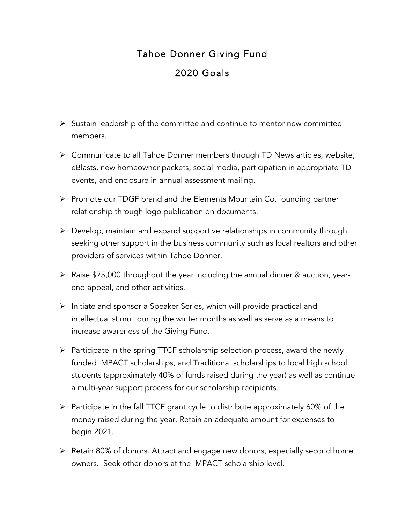# Tahoe Donner Giving Fund 2020 Goals

- $\triangleright$  Sustain leadership of the committee and continue to mentor new committee members.
- $\triangleright$  Communicate to all Tahoe Donner members through TD News articles, website, eBlasts, new homeowner packets, social media, participation in appropriate TD events, and enclosure in annual assessment mailing.
- Ø Promote our TDGF brand and the Elements Mountain Co. founding partner relationship through logo publication on documents.
- $\triangleright$  Develop, maintain and expand supportive relationships in community through seeking other support in the business community such as local realtors and other providers of services within Tahoe Donner.
- $\triangleright$  Raise \$75,000 throughout the year including the annual dinner & auction, yearend appeal, and other activities.
- $\triangleright$  Initiate and sponsor a Speaker Series, which will provide practical and intellectual stimuli during the winter months as well as serve as a means to increase awareness of the Giving Fund.
- $\triangleright$  Participate in the spring TTCF scholarship selection process, award the newly funded IMPACT scholarships, and Traditional scholarships to local high school students (approximately 40% of funds raised during the year) as well as continue a multi-year support process for our scholarship recipients.
- $\triangleright$  Participate in the fall TTCF grant cycle to distribute approximately 60% of the money raised during the year. Retain an adequate amount for expenses to begin 2021.
- Ø Retain 80% of donors. Attract and engage new donors, especially second home owners. Seek other donors at the IMPACT scholarship level.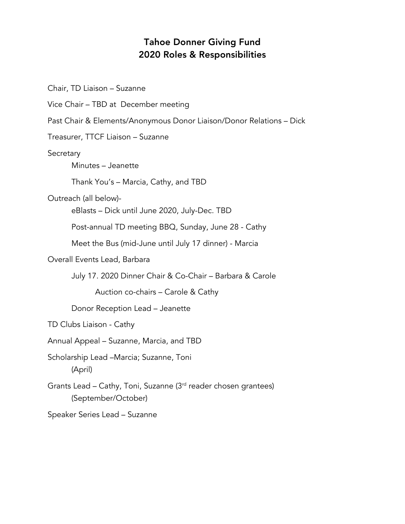## Tahoe Donner Giving Fund 2020 Roles & Responsibilities

Chair, TD Liaison – Suzanne Vice Chair – TBD at December meeting Past Chair & Elements/Anonymous Donor Liaison/Donor Relations – Dick Treasurer, TTCF Liaison – Suzanne **Secretary** Minutes – Jeanette Thank You's – Marcia, Cathy, and TBD Outreach (all below) eBlasts – Dick until June 2020, July-Dec. TBD Post-annual TD meeting BBQ, Sunday, June 28 - Cathy Meet the Bus (mid-June until July 17 dinner) - Marcia Overall Events Lead, Barbara July 17. 2020 Dinner Chair & Co-Chair – Barbara & Carole Auction co-chairs – Carole & Cathy Donor Reception Lead – Jeanette TD Clubs Liaison - Cathy Annual Appeal – Suzanne, Marcia, and TBD Scholarship Lead –Marcia; Suzanne, Toni (April) Grants Lead – Cathy, Toni, Suzanne (3rd reader chosen grantees) (September/October) Speaker Series Lead – Suzanne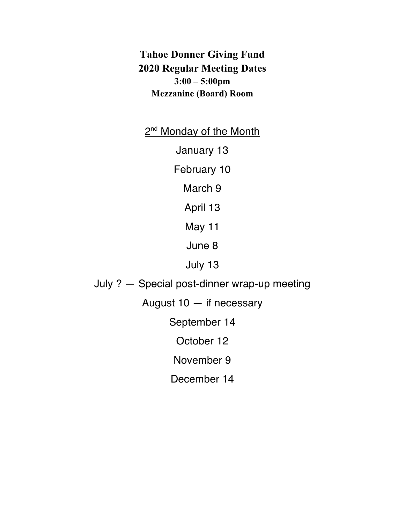**Tahoe Donner Giving Fund 2020 Regular Meeting Dates 3:00 – 5:00pm Mezzanine (Board) Room**

2<sup>nd</sup> Monday of the Month

January 13

February 10

March 9

April 13

May 11

June 8

July 13

July ? — Special post-dinner wrap-up meeting

August 10 — if necessary

September 14

October 12

November 9

December 14